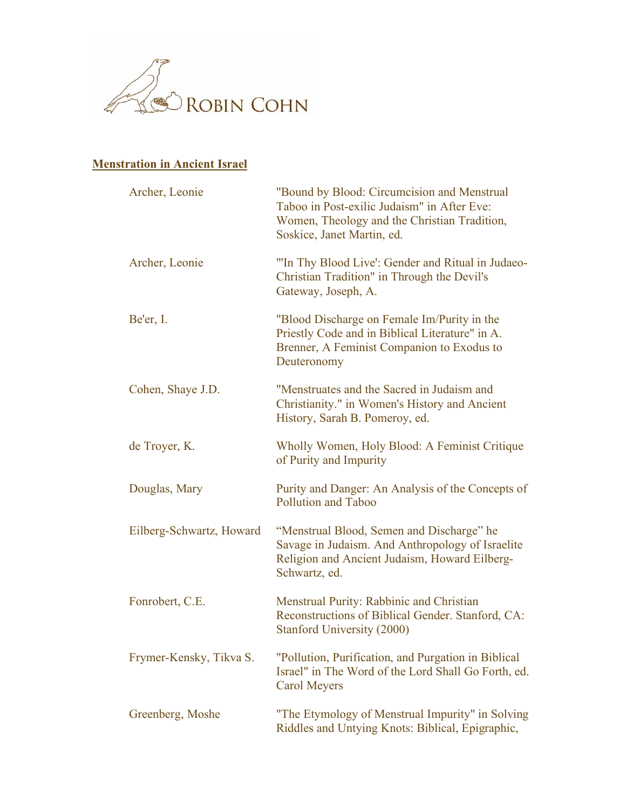

## **Menstration in Ancient Israel**

| Archer, Leonie           | "Bound by Blood: Circumcision and Menstrual<br>Taboo in Post-exilic Judaism" in After Eve:<br>Women, Theology and the Christian Tradition,<br>Soskice, Janet Martin, ed. |
|--------------------------|--------------------------------------------------------------------------------------------------------------------------------------------------------------------------|
| Archer, Leonie           | "In Thy Blood Live': Gender and Ritual in Judaeo-<br>Christian Tradition" in Through the Devil's<br>Gateway, Joseph, A.                                                  |
| Be'er, I.                | "Blood Discharge on Female Im/Purity in the<br>Priestly Code and in Biblical Literature" in A.<br>Brenner, A Feminist Companion to Exodus to<br>Deuteronomy              |
| Cohen, Shaye J.D.        | "Menstruates and the Sacred in Judaism and<br>Christianity." in Women's History and Ancient<br>History, Sarah B. Pomeroy, ed.                                            |
| de Troyer, K.            | Wholly Women, Holy Blood: A Feminist Critique<br>of Purity and Impurity                                                                                                  |
| Douglas, Mary            | Purity and Danger: An Analysis of the Concepts of<br><b>Pollution and Taboo</b>                                                                                          |
| Eilberg-Schwartz, Howard | "Menstrual Blood, Semen and Discharge" he<br>Savage in Judaism. And Anthropology of Israelite<br>Religion and Ancient Judaism, Howard Eilberg-<br>Schwartz, ed.          |
| Fonrobert, C.E.          | Menstrual Purity: Rabbinic and Christian<br>Reconstructions of Biblical Gender. Stanford, CA:<br>Stanford University (2000)                                              |
| Frymer-Kensky, Tikva S.  | "Pollution, Purification, and Purgation in Biblical<br>Israel" in The Word of the Lord Shall Go Forth, ed.<br><b>Carol Meyers</b>                                        |
| Greenberg, Moshe         | "The Etymology of Menstrual Impurity" in Solving<br>Riddles and Untying Knots: Biblical, Epigraphic,                                                                     |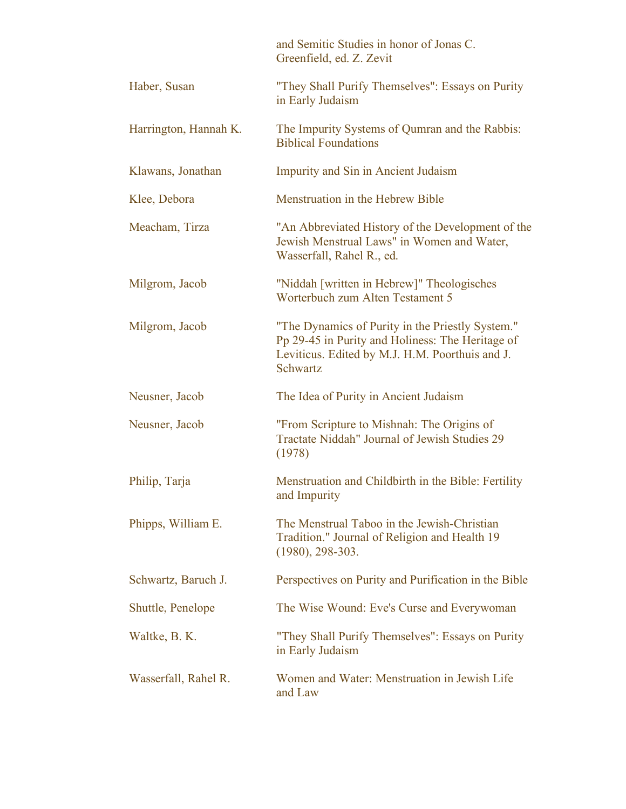|                       | and Semitic Studies in honor of Jonas C.<br>Greenfield, ed. Z. Zevit                                                                                                |
|-----------------------|---------------------------------------------------------------------------------------------------------------------------------------------------------------------|
| Haber, Susan          | "They Shall Purify Themselves": Essays on Purity<br>in Early Judaism                                                                                                |
| Harrington, Hannah K. | The Impurity Systems of Qumran and the Rabbis:<br><b>Biblical Foundations</b>                                                                                       |
| Klawans, Jonathan     | <b>Impurity and Sin in Ancient Judaism</b>                                                                                                                          |
| Klee, Debora          | Menstruation in the Hebrew Bible                                                                                                                                    |
| Meacham, Tirza        | "An Abbreviated History of the Development of the<br>Jewish Menstrual Laws" in Women and Water,<br>Wasserfall, Rahel R., ed.                                        |
| Milgrom, Jacob        | "Niddah [written in Hebrew]" Theologisches<br>Worterbuch zum Alten Testament 5                                                                                      |
| Milgrom, Jacob        | "The Dynamics of Purity in the Priestly System."<br>Pp 29-45 in Purity and Holiness: The Heritage of<br>Leviticus. Edited by M.J. H.M. Poorthuis and J.<br>Schwartz |
| Neusner, Jacob        | The Idea of Purity in Ancient Judaism                                                                                                                               |
| Neusner, Jacob        | "From Scripture to Mishnah: The Origins of<br>Tractate Niddah" Journal of Jewish Studies 29<br>(1978)                                                               |
| Philip, Tarja         | Menstruation and Childbirth in the Bible: Fertility<br>and Impurity                                                                                                 |
| Phipps, William E.    | The Menstrual Taboo in the Jewish-Christian<br>Tradition." Journal of Religion and Health 19<br>$(1980), 298-303.$                                                  |
| Schwartz, Baruch J.   | Perspectives on Purity and Purification in the Bible                                                                                                                |
| Shuttle, Penelope     | The Wise Wound: Eve's Curse and Everywoman                                                                                                                          |
| Waltke, B. K.         | "They Shall Purify Themselves": Essays on Purity<br>in Early Judaism                                                                                                |
| Wasserfall, Rahel R.  | Women and Water: Menstruation in Jewish Life<br>and Law                                                                                                             |